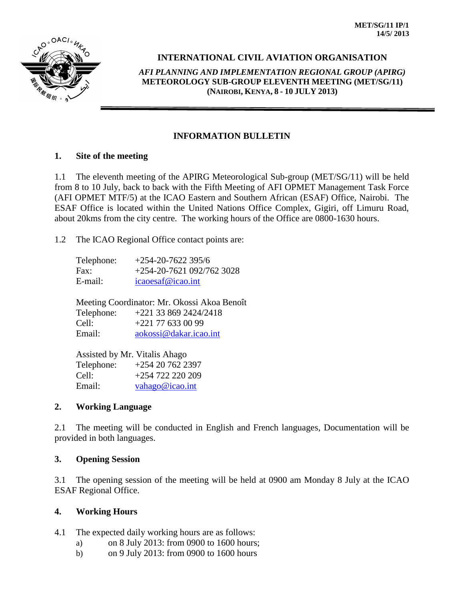

# **INTERNATIONAL CIVIL AVIATION ORGANISATION**

*AFI PLANNING AND IMPLEMENTATION REGIONAL GROUP (APIRG)* **METEOROLOGY SUB-GROUP ELEVENTH MEETING (MET/SG/11) (NAIROBI, KENYA, 8 - 10 JULY 2013)**

### **INFORMATION BULLETIN**

#### **1. Site of the meeting**

1.1 The eleventh meeting of the APIRG Meteorological Sub-group (MET/SG/11) will be held from 8 to 10 July, back to back with the Fifth Meeting of AFI OPMET Management Task Force (AFI OPMET MTF/5) at the ICAO Eastern and Southern African (ESAF) Office, Nairobi. The ESAF Office is located within the United Nations Office Complex, Gigiri, off Limuru Road, about 20kms from the city centre. The working hours of the Office are 0800-1630 hours.

1.2 The ICAO Regional Office contact points are:

| Telephone: | $+254-20-7622395/6$       |
|------------|---------------------------|
| Fax:       | $+254-20-7621092/7623028$ |
| E-mail:    | icaoesaf@icao.int         |

Meeting Coordinator: Mr. Okossi Akoa Benoît Telephone: +221 33 869 2424/2418 Cell: +221 77 633 00 99 Email: [aokossi@dakar.icao.int](mailto:aokossi@dakar.icao.int)

Assisted by Mr. Vitalis Ahago Telephone: +254 20 762 2397 Cell: +254 722 220 209 Email: [vahago@icao.int](mailto:vahago@icao.int)

#### **2. Working Language**

2.1 The meeting will be conducted in English and French languages, Documentation will be provided in both languages.

#### **3. Opening Session**

3.1 The opening session of the meeting will be held at 0900 am Monday 8 July at the ICAO ESAF Regional Office.

## **4. Working Hours**

4.1 The expected daily working hours are as follows:

- a) on 8 July 2013: from 0900 to 1600 hours;
- b) on 9 July 2013: from 0900 to 1600 hours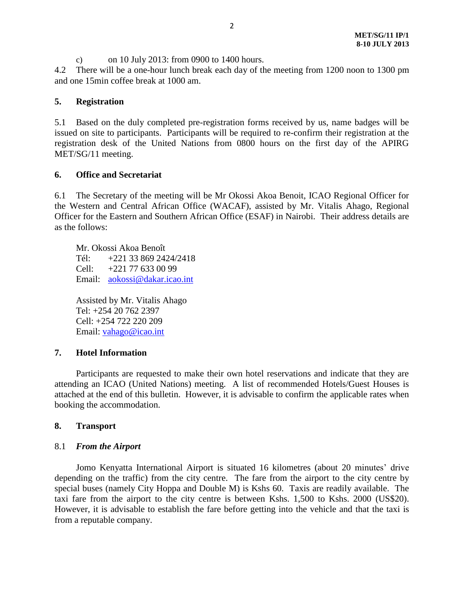c) on 10 July 2013: from 0900 to 1400 hours.

4.2 There will be a one-hour lunch break each day of the meeting from 1200 noon to 1300 pm and one 15min coffee break at 1000 am.

#### **5. Registration**

5.1 Based on the duly completed pre-registration forms received by us, name badges will be issued on site to participants. Participants will be required to re-confirm their registration at the registration desk of the United Nations from 0800 hours on the first day of the APIRG MET/SG/11 meeting.

#### **6. Office and Secretariat**

6.1 The Secretary of the meeting will be Mr Okossi Akoa Benoit, ICAO Regional Officer for the Western and Central African Office (WACAF), assisted by Mr. Vitalis Ahago, Regional Officer for the Eastern and Southern African Office (ESAF) in Nairobi. Their address details are as the follows:

Mr. Okossi Akoa Benoît Tél: +221 33 869 2424/2418 Cell: +221 77 633 00 99 Email: [aokossi@dakar.icao.int](mailto:aokossi@dakar.icao.int)

Assisted by Mr. Vitalis Ahago Tel: +254 20 762 2397 Cell: +254 722 220 209 Email: [vahago@icao.int](mailto:vahago@icao.int)

#### **7. Hotel Information**

Participants are requested to make their own hotel reservations and indicate that they are attending an ICAO (United Nations) meeting. A list of recommended Hotels/Guest Houses is attached at the end of this bulletin. However, it is advisable to confirm the applicable rates when booking the accommodation.

#### **8. Transport**

#### 8.1 *From the Airport*

Jomo Kenyatta International Airport is situated 16 kilometres (about 20 minutes' drive depending on the traffic) from the city centre. The fare from the airport to the city centre by special buses (namely City Hoppa and Double M) is Kshs 60. Taxis are readily available. The taxi fare from the airport to the city centre is between Kshs. 1,500 to Kshs. 2000 (US\$20). However, it is advisable to establish the fare before getting into the vehicle and that the taxi is from a reputable company.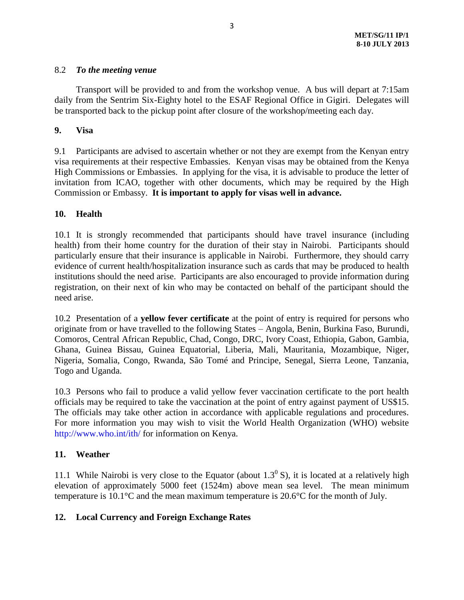#### 8.2 *To the meeting venue*

Transport will be provided to and from the workshop venue. A bus will depart at 7:15am daily from the Sentrim Six-Eighty hotel to the ESAF Regional Office in Gigiri. Delegates will be transported back to the pickup point after closure of the workshop/meeting each day.

#### **9. Visa**

9.1 Participants are advised to ascertain whether or not they are exempt from the Kenyan entry visa requirements at their respective Embassies. Kenyan visas may be obtained from the Kenya High Commissions or Embassies. In applying for the visa, it is advisable to produce the letter of invitation from ICAO, together with other documents, which may be required by the High Commission or Embassy. **It is important to apply for visas well in advance.**

### **10. Health**

10.1 It is strongly recommended that participants should have travel insurance (including health) from their home country for the duration of their stay in Nairobi. Participants should particularly ensure that their insurance is applicable in Nairobi. Furthermore, they should carry evidence of current health/hospitalization insurance such as cards that may be produced to health institutions should the need arise. Participants are also encouraged to provide information during registration, on their next of kin who may be contacted on behalf of the participant should the need arise.

10.2 Presentation of a **yellow fever certificate** at the point of entry is required for persons who originate from or have travelled to the following States – Angola, Benin, Burkina Faso, Burundi, Comoros, Central African Republic, Chad, Congo, DRC, Ivory Coast, Ethiopia, Gabon, Gambia, Ghana, Guinea Bissau, Guinea Equatorial, Liberia, Mali, Mauritania, Mozambique, Niger, Nigeria, Somalia, Congo, Rwanda, São Tomé and Principe, Senegal, Sierra Leone, Tanzania, Togo and Uganda.

10.3 Persons who fail to produce a valid yellow fever vaccination certificate to the port health officials may be required to take the vaccination at the point of entry against payment of US\$15. The officials may take other action in accordance with applicable regulations and procedures. For more information you may wish to visit the World Health Organization (WHO) website <http://www.who.int/ith/> for information on Kenya.

## **11. Weather**

11.1 While Nairobi is very close to the Equator (about  $1.3^{\circ}$  S), it is located at a relatively high elevation of approximately 5000 feet (1524m) above mean sea level. The mean minimum temperature is 10.1°C and the mean maximum temperature is 20.6°C for the month of July.

## **12. Local Currency and Foreign Exchange Rates**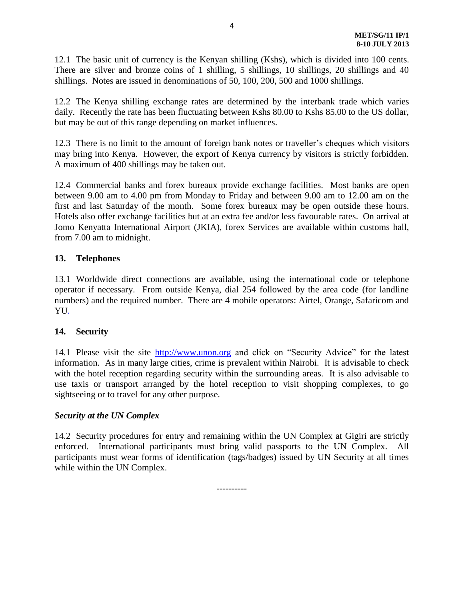12.1 The basic unit of currency is the Kenyan shilling (Kshs), which is divided into 100 cents. There are silver and bronze coins of 1 shilling, 5 shillings, 10 shillings, 20 shillings and 40 shillings. Notes are issued in denominations of 50, 100, 200, 500 and 1000 shillings.

12.2 The Kenya shilling exchange rates are determined by the interbank trade which varies daily. Recently the rate has been fluctuating between Kshs 80.00 to Kshs 85.00 to the US dollar, but may be out of this range depending on market influences.

12.3 There is no limit to the amount of foreign bank notes or traveller's cheques which visitors may bring into Kenya. However, the export of Kenya currency by visitors is strictly forbidden. A maximum of 400 shillings may be taken out.

12.4 Commercial banks and forex bureaux provide exchange facilities. Most banks are open between 9.00 am to 4.00 pm from Monday to Friday and between 9.00 am to 12.00 am on the first and last Saturday of the month. Some forex bureaux may be open outside these hours. Hotels also offer exchange facilities but at an extra fee and/or less favourable rates. On arrival at Jomo Kenyatta International Airport (JKIA), forex Services are available within customs hall, from 7.00 am to midnight.

### **13. Telephones**

13.1 Worldwide direct connections are available, using the international code or telephone operator if necessary. From outside Kenya, dial 254 followed by the area code (for landline numbers) and the required number. There are 4 mobile operators: Airtel, Orange, Safaricom and YU.

#### **14. Security**

14.1 Please visit the site [http://www.unon.org](http://www.unon.org/) and click on "Security Advice" for the latest information. As in many large cities, crime is prevalent within Nairobi. It is advisable to check with the hotel reception regarding security within the surrounding areas. It is also advisable to use taxis or transport arranged by the hotel reception to visit shopping complexes, to go sightseeing or to travel for any other purpose.

#### *Security at the UN Complex*

14.2 Security procedures for entry and remaining within the UN Complex at Gigiri are strictly enforced. International participants must bring valid passports to the UN Complex. All participants must wear forms of identification (tags/badges) issued by UN Security at all times while within the UN Complex.

----------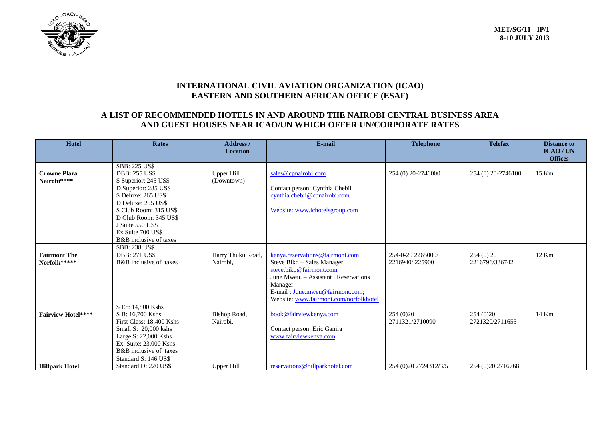

### **INTERNATIONAL CIVIL AVIATION ORGANIZATION (ICAO) EASTERN AND SOUTHERN AFRICAN OFFICE (ESAF)**

# **A LIST OF RECOMMENDED HOTELS IN AND AROUND THE NAIROBI CENTRAL BUSINESS AREA AND GUEST HOUSES NEAR ICAO/UN WHICH OFFER UN/CORPORATE RATES**

| <b>Hotel</b>                        | <b>Rates</b>                                                                                                                                                                                                                                                  | <b>Address</b> /<br><b>Location</b> | E-mail                                                                                                                                                                                                                  | <b>Telephone</b>                    | <b>Telefax</b>                | <b>Distance to</b><br><b>ICAO/UN</b> |
|-------------------------------------|---------------------------------------------------------------------------------------------------------------------------------------------------------------------------------------------------------------------------------------------------------------|-------------------------------------|-------------------------------------------------------------------------------------------------------------------------------------------------------------------------------------------------------------------------|-------------------------------------|-------------------------------|--------------------------------------|
| <b>Crowne Plaza</b><br>Nairobi****  | <b>SBB: 225 US\$</b><br><b>DBB: 255 US\$</b><br>S Superior: 245 US\$<br>D Superior: 285 US\$<br>S Deluxe: 265 US\$<br>D Deluxe: 295 US\$<br>S Club Room: 315 US\$<br>D Club Room: 345 US\$<br>J Suite 550 US\$<br>Ex Suite 700 US\$<br>B&B inclusive of taxes | <b>Upper Hill</b><br>(Downtown)     | sales@cpnairobi.com<br>Contact person: Cynthia Chebii<br>cynthia.chebii@cpnairobi.com<br>Website: www.ichotelsgroup.com                                                                                                 | 254 (0) 20-2746000                  | 254 (0) 20-2746100            | <b>Offices</b><br>15 Km              |
| <b>Fairmont The</b><br>Norfolk***** | <b>SBB: 238 US\$</b><br><b>DBB: 271 US\$</b><br>B&B inclusive of taxes                                                                                                                                                                                        | Harry Thuku Road,<br>Nairobi,       | kenya.reservations@fairmont.com<br>Steve Biko - Sales Manager<br>steve.biko@fairmont.com<br>June Mweu. - Assistant Reservations<br>Manager<br>E-mail: June.mweu@fairmont.com;<br>Website: www.fairmont.com/norfolkhotel | 254-0-20 2265000/<br>2216940/225900 | 254(0)20<br>2216796/336742    | 12 Km                                |
| <b>Fairview Hotel****</b>           | S Ec: 14,800 Kshs<br>S B: 16,700 Kshs<br>First Class: 18,400 Kshs<br>Small S: 20,000 kshs<br>Large S: 22,000 Kshs<br>Ex. Suite: 23,000 Kshs<br>B&B inclusive of taxes                                                                                         | Bishop Road,<br>Nairobi,            | book@fairviewkenya.com<br>Contact person: Eric Ganira<br>www.fairviewkenya.com                                                                                                                                          | 254(0)20<br>2711321/2710090         | 254 (0) 20<br>2721320/2711655 | 14 Km                                |
| <b>Hillpark Hotel</b>               | Standard S: 146 US\$<br>Standard D: 220 US\$                                                                                                                                                                                                                  | Upper Hill                          | reservations@hillparkhotel.com                                                                                                                                                                                          | 254 (0) 20 27 24 31 2/3/5           | 254 (0) 20 27 16768           |                                      |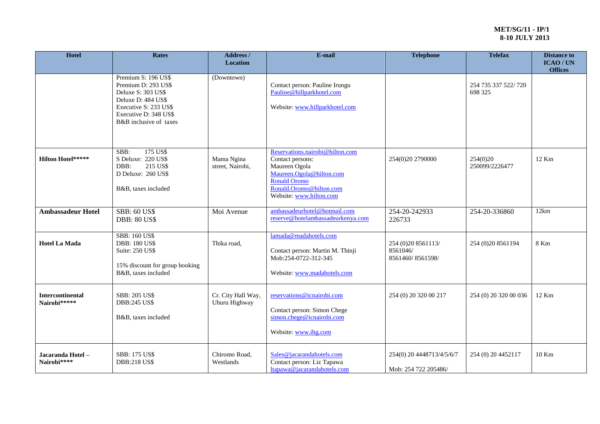| Hotel                            | <b>Rates</b>                                                                                                                                                       | Address /<br><b>Location</b>        | E-mail<br><b>Telephone</b>                                                                                                                                             |                                                     | <b>Telefax</b>                 | <b>Distance to</b><br>ICAO/UN<br><b>Offices</b> |
|----------------------------------|--------------------------------------------------------------------------------------------------------------------------------------------------------------------|-------------------------------------|------------------------------------------------------------------------------------------------------------------------------------------------------------------------|-----------------------------------------------------|--------------------------------|-------------------------------------------------|
|                                  | Premium S: 196 US\$<br>Premium D: 293 US\$<br>Deluxe S: 303 US\$<br>Deluxe D: 484 US\$<br>Executive S: 233 US\$<br>Executive D: 348 US\$<br>B&B inclusive of taxes | (Downtown)                          | Contact person: Pauline Irungu<br>Pauline@hillparkhotel.com<br>Website: www.hillparkhotel.com                                                                          |                                                     | 254 735 337 522/720<br>698 325 |                                                 |
| <b>Hilton Hotel*****</b>         | 175 US\$<br>SBB:<br>S Deluxe: 220 US\$<br>DBB:<br>215 US\$<br>D Deluxe: 260 US\$<br>B&B, taxes included                                                            | Mama Ngina<br>street, Nairobi,      | Reservations.nairobi@hilton.com<br>Contact persons:<br>Maureen Ogola<br>Maureen.Ogola@hilton.com<br>Ronald Oromo<br>Ronald.Oromo@hilton.com<br>Website: www.hilton.com | 254(0)20 2790000                                    | 254(0)20<br>250099/2226477     | 12 Km                                           |
| <b>Ambassadeur Hotel</b>         | <b>SBB: 60 US\$</b><br><b>DBB: 80 US\$</b>                                                                                                                         | Moi Avenue                          | ambassadeurhotel@hotmail.com<br>reserve@hotelambassadeurkenya.com                                                                                                      | 254-20-242933<br>226733                             | 254-20-336860                  | 12km                                            |
| <b>Hotel La Mada</b>             | <b>SBB: 160 US\$</b><br><b>DBB: 180 US\$</b><br>Suite: 250 US\$<br>15% discount for group booking<br>B&B, taxes included                                           | Thika road,                         | lamada@madahotels.com<br>Contact person: Martin M. Thinji<br>Mob:254-0722-312-345<br>Website: www.madahotels.com                                                       | 254 (0) 20 8561113/<br>8561046/<br>8561460/8561598/ | 254 (0) 20 8561194             | 8 Km                                            |
| Intercontinental<br>Nairobi***** | <b>SBB: 205 US\$</b><br><b>DBB:245 US\$</b><br>B&B, taxes included                                                                                                 | Cr. City Hall Way,<br>Uhuru Highway | reservations@icnairobi.com<br>Contact person: Simon Chege<br>simon.chege@icnairobi.com<br>Website: www.ihg.com                                                         | 254 (0) 20 320 00 217                               | 254 (0) 20 320 00 036          | 12 Km                                           |
| Jacaranda Hotel -<br>Nairobi**** | <b>SBB: 175 US\$</b><br><b>DBB:218 US\$</b>                                                                                                                        | Chiromo Road,<br>Westlands          | Sales@jacarandahotels.com<br>Contact person: Liz Tapawa<br>ltapawa@jacarandahotels.com                                                                                 | 254(0) 20 4448713/4/5/6/7<br>Mob: 254 722 205486/   | 254 (0) 20 4452117             | 10 Km                                           |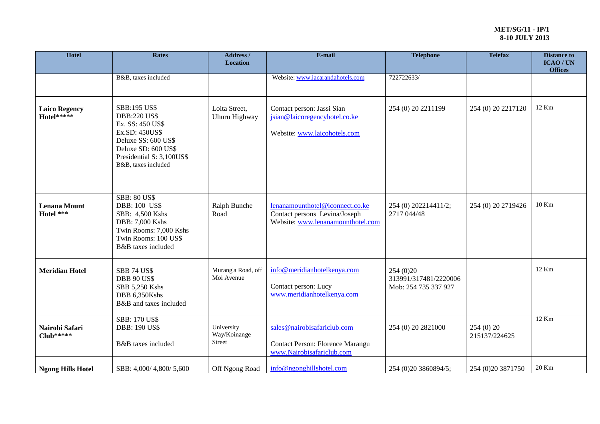| Hotel                              | <b>Rates</b>                                                                                                                                                                       | Address /<br><b>Location</b>                | E-mail                                                                                                | <b>Telephone</b>                                            | <b>Telefax</b>     | <b>Distance to</b><br>ICAO/UN<br><b>Offices</b> |
|------------------------------------|------------------------------------------------------------------------------------------------------------------------------------------------------------------------------------|---------------------------------------------|-------------------------------------------------------------------------------------------------------|-------------------------------------------------------------|--------------------|-------------------------------------------------|
|                                    | B&B, taxes included                                                                                                                                                                |                                             | Website: www.jacarandahotels.com                                                                      | 722722633/                                                  |                    |                                                 |
| <b>Laico Regency</b><br>Hotel***** | <b>SBB:195 US\$</b><br><b>DBB:220 US\$</b><br>Ex. SS: 450 US\$<br>Ex.SD: 450US\$<br>Deluxe SS: 600 US\$<br>Deluxe SD: 600 US\$<br>Presidential S: 3,100US\$<br>B&B, taxes included | Loita Street,<br>Uhuru Highway              | Contact person: Jassi Sian<br>jsian@laicoregencyhotel.co.ke<br>Website: www.laicohotels.com           | 254 (0) 20 2211199                                          | 254 (0) 20 2217120 | 12 Km                                           |
| <b>Lenana Mount</b><br>Hotel ***   | <b>SBB: 80 US\$</b><br><b>DBB: 100 US\$</b><br>SBB: 4,500 Kshs<br>DBB: 7,000 Kshs<br>Twin Rooms: 7,000 Kshs<br>Twin Rooms: 100 US\$<br>B&B taxes included                          | Ralph Bunche<br>Road                        | lenanamounthotel@iconnect.co.ke<br>Contact persons Levina/Joseph<br>Website: www.lenanamounthotel.com | 254 (0) 202214411/2;<br>254 (0) 20 2719426<br>2717 044/48   |                    | $10$ Km                                         |
| <b>Meridian Hotel</b>              | <b>SBB 74 US\$</b><br><b>DBB 90 US\$</b><br>SBB 5,250 Kshs<br>DBB 6,350Kshs<br>B&B and taxes included                                                                              | Murang'a Road, off<br>Moi Avenue            | info@meridianhotelkenya.com<br>Contact person: Lucy<br>www.meridianhotelkenya.com                     | 254 (0) 20<br>313991/317481/2220006<br>Mob: 254 735 337 927 |                    | 12 Km                                           |
| Nairobi Safari<br>Club*****        | <b>SBB: 170 US\$</b><br><b>DBB: 190 US\$</b><br>B&B taxes included                                                                                                                 | University<br>Way/Koinange<br><b>Street</b> | sales@nairobisafariclub.com<br>Contact Person: Florence Marangu<br>www.Nairobisafariclub.com          | 254 (0) 20 2821000                                          |                    | 12 Km                                           |
| <b>Ngong Hills Hotel</b>           | SBB: 4,000/4,800/5,600                                                                                                                                                             | Off Ngong Road                              | info@ngonghillshotel.com                                                                              | 254 (0) 20 3860894/5;                                       | 254 (0) 20 3871750 | 20 Km                                           |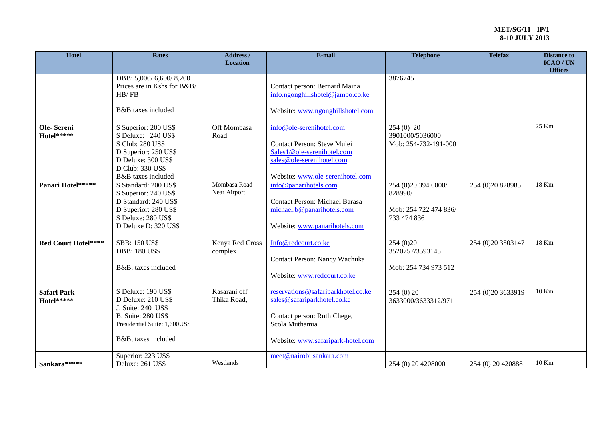| <b>Hotel</b>                     | <b>Rates</b>                                                                                                                                           | Address /<br><b>Location</b> | E-mail                                                                                                                                                  | <b>Telephone</b>                                                       | <b>Telefax</b>       | <b>Distance to</b><br><b>ICAO/UN</b><br><b>Offices</b> |
|----------------------------------|--------------------------------------------------------------------------------------------------------------------------------------------------------|------------------------------|---------------------------------------------------------------------------------------------------------------------------------------------------------|------------------------------------------------------------------------|----------------------|--------------------------------------------------------|
|                                  | DBB: 5,000/6,600/8,200<br>Prices are in Kshs for B&B/<br>HB/FB<br>B&B taxes included                                                                   |                              | Contact person: Bernard Maina<br>info.ngonghillshotel@jambo.co.ke<br>Website: www.ngonghillshotel.com                                                   | 3876745                                                                |                      |                                                        |
| Ole-Sereni<br>Hotel*****         | S Superior: 200 US\$<br>S Deluxe: 240 US\$<br>S Club: 280 US\$<br>D Superior: 250 US\$<br>D Deluxe: 300 US\$<br>D Club: 330 US\$<br>B&B taxes included | Off Mombasa<br>Road          | info@ole-serenihotel.com<br>Contact Person: Steve Mulei<br>Sales1@ole-serenihotel.com<br>sales@ole-serenihotel.com<br>Website: www.ole-serenihotel.com  | $254(0)$ 20<br>3901000/5036000<br>Mob: 254-732-191-000                 |                      | 25 Km                                                  |
| Panari Hotel*****                | S Standard: 200 US\$<br>S Superior: 240 US\$<br>D Standard: 240 US\$<br>D Superior: 280 US\$<br>S Deluxe: 280 US\$<br>D Deluxe D: 320 US\$             | Mombasa Road<br>Near Airport | info@panarihotels.com<br><b>Contact Person: Michael Barasa</b><br>michael.b@panarihotels.com<br>Website: www.panarihotels.com                           | 254 (0)20 394 6000/<br>828990/<br>Mob: 254 722 474 836/<br>733 474 836 | 254 (0) 20 8 289 85  | 18 Km                                                  |
| <b>Red Court Hotel****</b>       | <b>SBB: 150 US\$</b><br><b>DBB: 180 US\$</b><br>B&B, taxes included                                                                                    | Kenya Red Cross<br>complex   | Info@redcourt.co.ke<br>Contact Person: Nancy Wachuka<br>Website: www.redcourt.co.ke                                                                     | 254 (0) 20<br>3520757/3593145<br>Mob: 254 734 973 512                  | 254 (0) 20 35 03 147 | 18 Km                                                  |
| <b>Safari Park</b><br>Hotel***** | S Deluxe: 190 US\$<br>D Deluxe: 210 US\$<br>J. Suite: 240 US\$<br><b>B.</b> Suite: 280 US\$<br>Presidential Suite: 1,600US\$<br>B&B, taxes included    | Kasarani off<br>Thika Road,  | reservations@safariparkhotel.co.ke<br>sales@safariparkhotel.co.ke<br>Contact person: Ruth Chege,<br>Scola Muthamia<br>Website: www.safaripark-hotel.com | 254(0)20<br>3633000/3633312/971                                        | 254 (0)20 3633919    | 10 Km                                                  |
| Sankara*****                     | Superior: 223 US\$<br>Deluxe: 261 US\$                                                                                                                 | Westlands                    | meet@nairobi.sankara.com                                                                                                                                | 254 (0) 20 4208000                                                     | 254 (0) 20 420888    | 10 Km                                                  |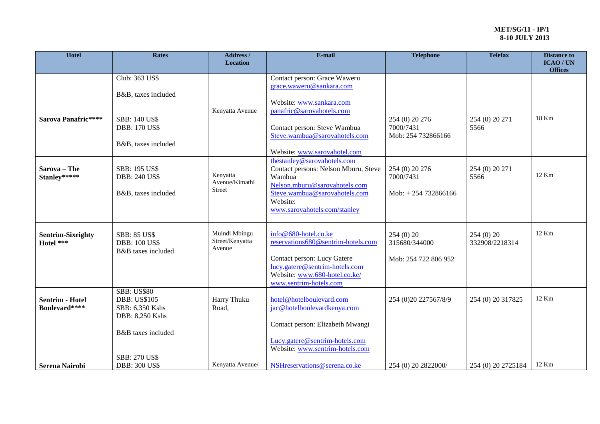| Hotel                                   | <b>Rates</b>                                                                                          | Address /<br><b>Location</b>                | E-mail                                                                                                                                                                                      | <b>Telephone</b>                                    | <b>Telefax</b>               | <b>Distance to</b><br><b>ICAO/UN</b><br><b>Offices</b> |
|-----------------------------------------|-------------------------------------------------------------------------------------------------------|---------------------------------------------|---------------------------------------------------------------------------------------------------------------------------------------------------------------------------------------------|-----------------------------------------------------|------------------------------|--------------------------------------------------------|
|                                         | Club: 363 US\$<br>B&B, taxes included                                                                 |                                             | Contact person: Grace Waweru<br>grace.waweru@sankara.com<br>Website: www.sankara.com                                                                                                        |                                                     |                              |                                                        |
| Sarova Panafric****                     | <b>SBB: 140 US\$</b><br><b>DBB: 170 US\$</b><br>B&B, taxes included                                   | Kenyatta Avenue                             | panafric@sarovahotels.com<br>Contact person: Steve Wambua<br>Steve.wambua@sarovahotels.com<br>Website: www.sarovahotel.com                                                                  | 254 (0) 20 276<br>7000/7431<br>Mob: 254 732866166   | 254 (0) 20 271<br>5566       | 18 Km                                                  |
| Sarova - The<br>Stanley*****            | <b>SBB: 195 US\$</b><br><b>DBB: 240 US\$</b><br>B&B, taxes included                                   | Kenyatta<br>Avenue/Kimathi<br><b>Street</b> | thestanley@sarovahotels.com<br>Contact persons: Nelson Mburu, Steve<br>Wambua<br>Nelson.mburu@sarovahotels.com<br>Steve.wambua@sarovahotels.com<br>Website:<br>www.sarovahotels.com/stanley | 254 (0) 20 276<br>7000/7431<br>Mob: $+254732866166$ | 254 (0) 20 271<br>5566       | 12 Km                                                  |
| <b>Sentrim-Sixeighty</b><br>Hotel ***   | <b>SBB: 85 US\$</b><br><b>DBB: 100 US\$</b><br>B&B taxes included                                     | Muindi Mbingu<br>Street/Kenyatta<br>Avenue  | info@680-hotel.co.ke<br>reservations680@sentrim-hotels.com<br>Contact person: Lucy Gatere<br>lucy.gatere@sentrim-hotels.com<br>Website: www.680-hotel.co.ke/<br>www.sentrim-hotels.com      | 254(0)20<br>315680/344000<br>Mob: 254 722 806 952   | 254 (0) 20<br>332908/2218314 | 12 Km                                                  |
| <b>Sentrim - Hotel</b><br>Boulevard**** | <b>SBB: US\$80</b><br><b>DBB: US\$105</b><br>SBB: 6,350 Kshs<br>DBB: 8,250 Kshs<br>B&B taxes included | Harry Thuku<br>Road,                        | hotel@hotelboulevard.com<br>jac@hotelboulevardkenya.com<br>Contact person: Elizabeth Mwangi<br>Lucy.gatere@sentrim-hotels.com<br>Website: www.sentrim-hotels.com                            | 254 (0) 20 2275 67/8/9                              | 254 (0) 20 317825            | 12 Km                                                  |
| <b>Serena Nairobi</b>                   | <b>SBB: 270 US\$</b><br><b>DBB: 300 US\$</b>                                                          | Kenyatta Avenue/                            | NSHreservations@serena.co.ke                                                                                                                                                                | 254 (0) 20 2822000/                                 | 254 (0) 20 2725184           | 12 Km                                                  |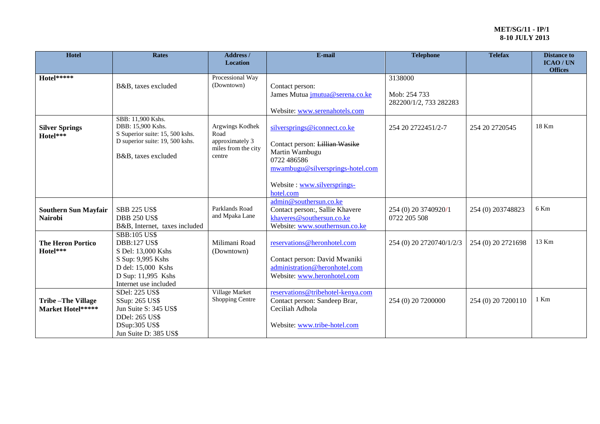| Hotel                       | <b>Rates</b>                           | <b>Address</b> /<br><b>Location</b> | E-mail                            | <b>Telephone</b>         | <b>Telefax</b>     | <b>Distance to</b><br>ICAO/UN |
|-----------------------------|----------------------------------------|-------------------------------------|-----------------------------------|--------------------------|--------------------|-------------------------------|
|                             |                                        |                                     |                                   |                          |                    | <b>Offices</b>                |
| Hotel*****                  |                                        | Processional Way                    |                                   | 3138000                  |                    |                               |
|                             | B&B, taxes excluded                    | (Downtown)                          | Contact person:                   |                          |                    |                               |
|                             |                                        |                                     | James Mutua jmutua@serena.co.ke   | Mob: 254 733             |                    |                               |
|                             |                                        |                                     |                                   | 282200/1/2, 733 282283   |                    |                               |
|                             |                                        |                                     | Website: www.serenahotels.com     |                          |                    |                               |
|                             | SBB: 11,900 Kshs.<br>DBB: 15,900 Kshs. | Argwings Kodhek                     |                                   |                          |                    | 18 Km                         |
| <b>Silver Springs</b>       | S Superior suite: 15, 500 kshs.        | Road                                | silversprings@iconnect.co.ke      | 254 20 2722451/2-7       | 254 20 27 20545    |                               |
| Hotel***                    | D superior suite: 19, 500 kshs.        | approximately 3                     |                                   |                          |                    |                               |
|                             |                                        | miles from the city                 | Contact person: Lillian Wasike    |                          |                    |                               |
|                             | B&B, taxes excluded                    | centre                              | Martin Wambugu<br>0722 486586     |                          |                    |                               |
|                             |                                        |                                     | mwambugu@silversprings-hotel.com  |                          |                    |                               |
|                             |                                        |                                     |                                   |                          |                    |                               |
|                             |                                        |                                     | Website: www.silversprings-       |                          |                    |                               |
|                             |                                        |                                     | hotel.com                         |                          |                    |                               |
|                             |                                        |                                     | admin@southersun.co.ke            |                          |                    |                               |
| <b>Southern Sun Mayfair</b> | <b>SBB 225 US\$</b>                    | Parklands Road                      | Contact person:, Sallie Khavere   | 254 (0) 20 3740920/1     | 254 (0) 203748823  | 6 Km                          |
| Nairobi                     | <b>DBB 250 US\$</b>                    | and Mpaka Lane                      | khaveres@southersun.co.ke         | 0722 205 508             |                    |                               |
|                             | B&B, Internet, taxes included          |                                     | Website: www.southernsun.co.ke    |                          |                    |                               |
|                             | <b>SBB:105 US\$</b>                    |                                     |                                   |                          |                    |                               |
| <b>The Heron Portico</b>    | <b>DBB:127 US\$</b>                    | Milimani Road                       | reservations@heronhotel.com       | 254 (0) 20 2720740/1/2/3 | 254 (0) 20 2721698 | 13 Km                         |
| Hotel***                    | S Del: 13,000 Kshs                     | (Downtown)                          |                                   |                          |                    |                               |
|                             | S Sup: 9,995 Kshs                      |                                     | Contact person: David Mwaniki     |                          |                    |                               |
|                             | D del: 15,000 Kshs                     |                                     | administration@heronhotel.com     |                          |                    |                               |
|                             | D Sup: 11,995 Kshs                     |                                     | Website: www.heronhotel.com       |                          |                    |                               |
|                             | Internet use included                  |                                     |                                   |                          |                    |                               |
|                             | SDel: 225 US\$                         | Village Market                      | reservations@tribehotel-kenya.com |                          |                    |                               |
| <b>Tribe-The Village</b>    | SSup: 265 US\$                         | Shopping Centre                     | Contact person: Sandeep Brar,     | 254 (0) 20 7200000       | 254 (0) 20 7200110 | 1 Km                          |
| Market Hotel*****           | Jun Suite S: 345 US\$                  |                                     | Ceciliah Adhola                   |                          |                    |                               |
|                             | DDel: 265 US\$                         |                                     |                                   |                          |                    |                               |
|                             | DSup:305 US\$                          |                                     | Website: www.tribe-hotel.com      |                          |                    |                               |
|                             | Jun Suite D: 385 US\$                  |                                     |                                   |                          |                    |                               |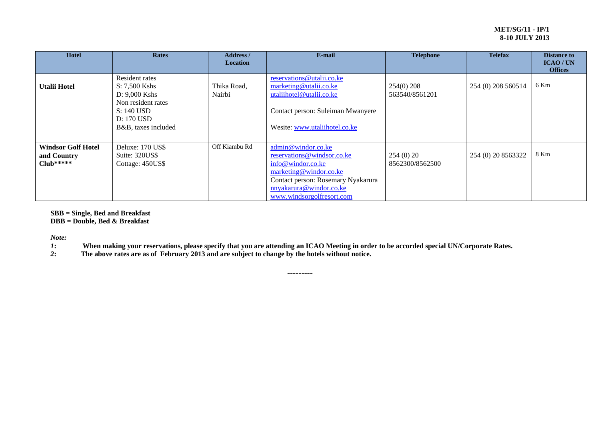| <b>Hotel</b>                                            | <b>Rates</b>                                                                                                                | <b>Address</b> /<br><b>Location</b> | E-mail                                                                                                                                                                                        | <b>Telephone</b>               | <b>Telefax</b>     | <b>Distance to</b><br>ICAO/UN<br><b>Offices</b> |
|---------------------------------------------------------|-----------------------------------------------------------------------------------------------------------------------------|-------------------------------------|-----------------------------------------------------------------------------------------------------------------------------------------------------------------------------------------------|--------------------------------|--------------------|-------------------------------------------------|
| <b>Utalii Hotel</b>                                     | Resident rates<br>S: 7,500 Kshs<br>$D: 9,000$ Kshs<br>Non resident rates<br>S: 140 USD<br>D: 170 USD<br>B&B, taxes included | Thika Road,<br>Nairbi               | reservations@utalii.co.ke<br>marketing@utalii.co.ke<br>utaliihotel@utalii.co.ke<br>Contact person: Suleiman Mwanyere<br>Wesite: www.utaliihotel.co.ke                                         | $254(0)$ 208<br>563540/8561201 | 254 (0) 208 560514 | 6 Km                                            |
| <b>Windsor Golf Hotel</b><br>and Country<br>$Club*****$ | Deluxe: 170 US\$<br>Suite: 320US\$<br>Cottage: 450US\$                                                                      | Off Kiambu Rd                       | admin@windor.co.ke<br>reservations@windsor.co.ke<br>info@windor.co.ke<br>marketing@windor.co.ke<br>Contact person: Rosemary Nyakarura<br>nnyakarura@windor.co.ke<br>www.windsorgolfresort.com | 254(0)20<br>8562300/8562500    | 254 (0) 20 8563322 | 8 Km                                            |

**SBB = Single, Bed and Breakfast**

**DBB = Double, Bed & Breakfast**

*Note:*

*1***:** When making your reservations, please specify that you are attending an ICAO Meeting in order to be accorded special UN/Corporate Rates.<br>2: The above rates are as of February 2013 and are subject to change by the ho

---------

*2***: The above rates are as of February 2013 and are subject to change by the hotels without notice.**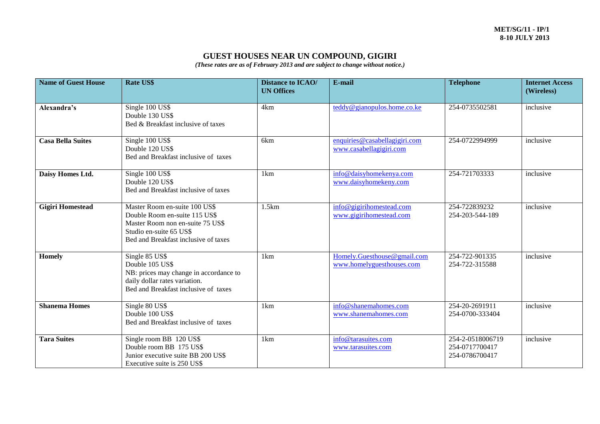# **GUEST HOUSES NEAR UN COMPOUND, GIGIRI**

*(These rates are as of February 2013 and are subject to change without notice.)*

| <b>Name of Guest House</b> | Rate US\$                                                                                                                                                             | <b>Distance to ICAO/</b><br><b>UN Offices</b> | E-mail                                                   | <b>Telephone</b>                                     | <b>Internet Access</b><br>(Wireless) |
|----------------------------|-----------------------------------------------------------------------------------------------------------------------------------------------------------------------|-----------------------------------------------|----------------------------------------------------------|------------------------------------------------------|--------------------------------------|
| Alexandra's                | Single 100 US\$<br>Double 130 US\$<br>Bed & Breakfast inclusive of taxes                                                                                              | 4km                                           | teddy@gianopulos.home.co.ke                              | 254-0735502581                                       | inclusive                            |
| <b>Casa Bella Suites</b>   | Single 100 US\$<br>Double 120 US\$<br>Bed and Breakfast inclusive of taxes                                                                                            | 6km                                           | enquiries@casabellagigiri.com<br>www.casabellagigiri.com | 254-0722994999                                       | inclusive                            |
| Daisy Homes Ltd.           | Single 100 US\$<br>Double 120 US\$<br>Bed and Breakfast inclusive of taxes                                                                                            | 1km                                           | info@daisyhomekenya.com<br>www.daisyhomekeny.com         | 254-721703333                                        | inclusive                            |
| <b>Gigiri Homestead</b>    | Master Room en-suite 100 US\$<br>Double Room en-suite 115 US\$<br>Master Room non en-suite 75 US\$<br>Studio en-suite 65 US\$<br>Bed and Breakfast inclusive of taxes | 1.5km                                         | info@gigirihomestead.com<br>www.gigirihomestead.com      | 254-722839232<br>254-203-544-189                     | inclusive                            |
| Homely                     | Single 85 US\$<br>Double 105 US\$<br>NB: prices may change in accordance to<br>daily dollar rates variation.<br>Bed and Breakfast inclusive of taxes                  | 1km                                           | Homely.Guesthouse@gmail.com<br>www.homelyguesthouses.com | 254-722-901335<br>254-722-315588                     | inclusive                            |
| <b>Shanema Homes</b>       | Single 80 US\$<br>Double 100 US\$<br>Bed and Breakfast inclusive of taxes                                                                                             | 1km                                           | info@shanemahomes.com<br>www.shanemahomes.com            | 254-20-2691911<br>254-0700-333404                    | inclusive                            |
| <b>Tara Suites</b>         | Single room BB 120 US\$<br>Double room BB 175 US\$<br>Junior executive suite BB 200 US\$<br>Executive suite is 250 US\$                                               | 1km                                           | info@tarasuites.com<br>www.tarasuites.com                | 254-2-0518006719<br>254-0717700417<br>254-0786700417 | inclusive                            |